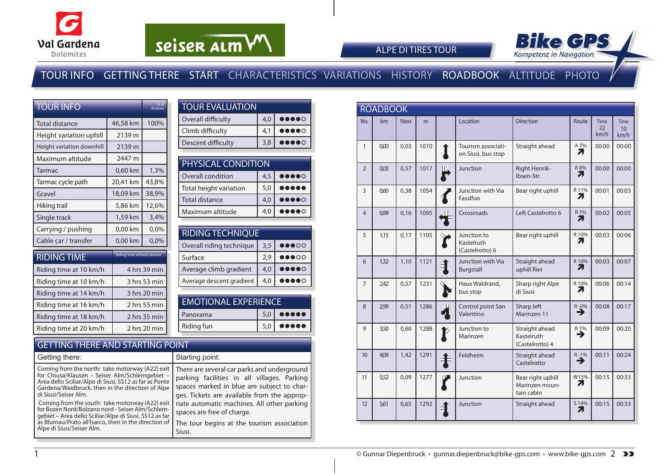



#### ALPE DI TIRES TOUR

### TOUR INFO GETTING THERE START CHARACTERISTICS VARIATIONS HISTORY ROADBOOK ALTITUDE PHOTO

| <b>TOUR INFO</b>          |                                   | % of<br>distance |
|---------------------------|-----------------------------------|------------------|
| Total distance            | 46,58 km                          | 100%             |
| Height variation uphill   | 2139 m                            |                  |
| Height variation downhill | 2139 m                            |                  |
| Maximum altitude          | 2447 m                            |                  |
| Tarmac                    | 0,60 km                           | 1,3%             |
| Tarmac cycle path         | 20,41 km                          | 43,8%            |
| Gravel                    | 18,09 km                          | 38,9%            |
| Hiking trail              | 5,86 km                           | 12,6%            |
| Single track              | 1,59 km                           | 3,4%             |
| Carrying / pushing        | 0,00 km                           | 0,0%             |
| Cable car / transfer      | 0,00 km                           | 0,0%             |
| <b>RIDING TIME</b>        | <b>Riding time without pauses</b> |                  |
| Riding time at 10 km/h    |                                   | 4 hrs 39 min     |
| Riding time at 10 km/h    |                                   | 3 hrs 53 min     |
| Riding time at 14 km/h    |                                   | 3 hrs 20 min     |
| Riding time at 16 km/h    |                                   | 2 hrs 55 min     |
| Riding time at 18 km/h    |                                   | 2 hrs 35 min     |
| Riding time at 20 km/h    |                                   | 2 hrs 20 min     |

| <b>TOUR EVALUATION</b> |     |                              |
|------------------------|-----|------------------------------|
| Overall difficulty     | 4,0 | $\bullet\bullet\bullet\circ$ |
| Climb difficulty       | 4.1 | $\bullet\bullet\bullet\circ$ |
| Descent difficulty     | 3.8 |                              |
|                        |     |                              |

| <b>PHYSICAL CONDITION</b> |     |                              |  |  |  |  |  |  |
|---------------------------|-----|------------------------------|--|--|--|--|--|--|
| Overall condition         | 4,5 | $\bullet\bullet\bullet\circ$ |  |  |  |  |  |  |
| Total height variation    | 5,0 |                              |  |  |  |  |  |  |
| <b>Total distance</b>     | 4,0 | $\bullet\bullet\bullet\circ$ |  |  |  |  |  |  |
| Maximum altitude          | 4,0 |                              |  |  |  |  |  |  |

| <b>RIDING TECHNIQUE</b> |                                   |
|-------------------------|-----------------------------------|
| 3,5                     | $\bullet\bullet\bullet\circ\circ$ |
| 2.9                     | $\bullet\bullet\bullet\circ\circ$ |
| 4,0                     |                                   |
| 4,0                     |                                   |
|                         |                                   |

| <b>EMOTIONAL EXPERIENCE</b> |  |                                               |  |  |  |  |
|-----------------------------|--|-----------------------------------------------|--|--|--|--|
| l Panorama                  |  | $5,0$ $\bullet$ $\bullet$ $\bullet$ $\bullet$ |  |  |  |  |
| Riding fun                  |  | $5,0$ $\bullet \bullet \bullet \bullet$       |  |  |  |  |

#### GETTING THERE AND STARTING POINT

| Getting there:                                                                                                                                                                                                                                      | Starting point:                                                                                                                                                                         |
|-----------------------------------------------------------------------------------------------------------------------------------------------------------------------------------------------------------------------------------------------------|-----------------------------------------------------------------------------------------------------------------------------------------------------------------------------------------|
| Coming from the north: take motorway (A22) exit<br>for Chiusa/Klausen - Seiser Alm/Schlerngebiet -<br>Area dello Sciliar/Alpe di Siusi, SS12 as far as Ponte<br>Gardena/Waidbruck, then in the direction of Alpe<br>di Siusi/Seiser Alm.            | There are several car parks and underground<br>parking facilities in all villages. Parking<br>spaces marked in blue are subject to char-<br>ges. Tickets are available from the approp- |
| Coming from the south: take motorway (A22) exit<br>for Bozen Nord/Bolzano nord - Seiser Alm/Schlern-<br>gebiet – Area dello Sciliar/Alpe di Siusi, SS12 as far<br>as Blumau/Prato all'Isarco, then in the direction of<br>Alpe di Siusi/Seiser Alm. | riate automatic machines. All other parking<br>spaces are free of charge.<br>The tour begins at the tourism association<br>Siusi.                                                       |

|                  | <b>ROADBOOK</b> |             |      |   |                                              |                                                   |               |                           |                           |
|------------------|-----------------|-------------|------|---|----------------------------------------------|---------------------------------------------------|---------------|---------------------------|---------------------------|
| No.              | km              | <b>Next</b> | m    |   | Location                                     | <b>Direction</b>                                  | Route         | <b>Time</b><br>22<br>km/h | <b>Time</b><br>10<br>km/h |
| $\mathbf{1}$     | 0.00            | 0,03        | 1010 |   | Tourism associati-<br>on Siusi, bus stop     | Straight ahead                                    | A 7%<br>7     | 00:00                     | 00:00                     |
| $\overline{2}$   | 0,03            | 0,57        | 1017 |   | Junction                                     | Right Henrik-<br>Ibsen-Str.                       | R 8%<br>71    | 00:00                     | 00:00                     |
| $\overline{3}$   | 060             | 0,38        | 1054 |   | Junction with Via<br>FassIfun                | Bear right uphill                                 | R 11%<br>71   | 00:01                     | 00:03                     |
| $\overline{4}$   | 0,99            | 0,16        | 1095 |   | Crossroads                                   | Left Castelrotto 6                                | R 7%<br>71    | 00:02                     | 00:05                     |
| 5                | 1,15            | 0,17        | 1105 |   | Junction to<br>Kastelruth<br>(Castelrotto) 6 | Bear right uphill                                 | R 10%<br>7.   | 00:03                     | 00:06                     |
| 6                | 1,32            | 1,10        | 1121 |   | Junction with Via<br>Burgstall               | Straight ahead<br>uphill Rier                     | R 10%<br>71   | 00:03                     | 00:07                     |
| $\overline{7}$   | 242             | 0,57        | 1231 |   | Haus Waldrand,<br>bus stop                   | Sharp right Alpe<br>di Siusi                      | R 10%<br>2.   | 00:06                     | 00:14                     |
| 8                | 2,99            | 0,51        | 1286 |   | Control point San<br>Valentino               | Sharp left<br>Marinzen 11                         | $R - 0\%$     | 00:08                     | 00:17                     |
| 9                | 3,50            | 0,60        | 1288 |   | Junction to<br>Marinzen                      | Straight ahead<br>Kastelruth<br>(Castelrotto) 4   | R 1%<br>→     | 00:09                     | 00:20                     |
| 10 <sup>10</sup> | 4,09            | 1,42        | 1291 |   | Feldheim                                     | Straight ahead<br>Castelrotto                     | $R - 1%$<br>→ | 00:11                     | 00:24                     |
| 11               | 5,52            | 0,09        | 1277 |   | Junction                                     | Bear right uphill<br>Marinzen moun-<br>tain cabin | W15%<br>71    | 00:15                     | 00:33                     |
| 12               | 5,61            | 0,65        | 1292 | 1 | Junction                                     | Straight ahead                                    | S 14%<br>71   | 00:15                     | 00:33                     |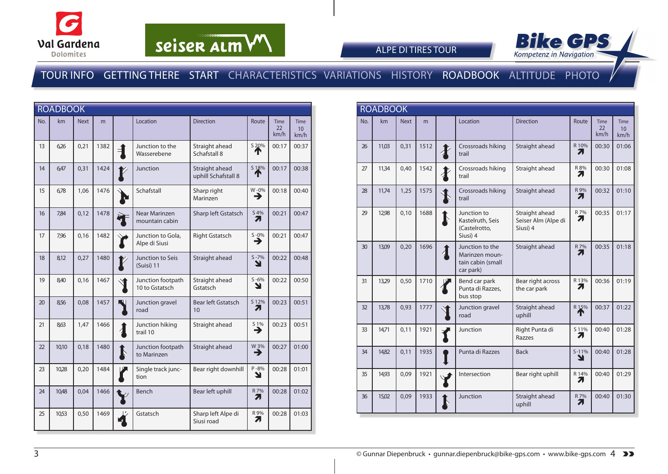



ALPE DI TIRES TOUR

|     | <b>ROADBOOK</b> |             |      |               |                                     |                                       |                |                                          |                                        |
|-----|-----------------|-------------|------|---------------|-------------------------------------|---------------------------------------|----------------|------------------------------------------|----------------------------------------|
| No. | km              | <b>Next</b> | m    |               | Location                            | <b>Direction</b>                      | Route          | <b>Time</b><br>$22 \overline{)}$<br>km/h | <b>Time</b><br>10 <sup>°</sup><br>km/h |
| 13  | 6,26            | 0,21        | 1382 | ╡             | Junction to the<br>Wasserebene      | Straight ahead<br>Schafstall 8        | S 20%<br>T     | 00:17                                    | 00:37                                  |
| 14  | 6,47            | 0,31        | 1424 |               | Junction                            | Straight ahead<br>uphill Schafstall 8 | S 18%          | 00:17                                    | 00:38                                  |
| 15  | 6,78            | 1,06        | 1476 |               | Schafstall                          | Sharp right<br>Marinzen               | W-0%<br>→      | 00:18                                    | 00:40                                  |
| 16  | 784             | 0,12        | 1478 |               | Near Marinzen<br>mountain cabin     | Sharp left Gstatsch                   | S 4%<br>71     | 00:21                                    | 00:47                                  |
| 17  | 7,96            | 0,16        | 1482 |               | Junction to Gola,<br>Alpe di Siusi  | <b>Right Gstatsch</b>                 | $S - 0\%$<br>→ | 00:21                                    | 00:47                                  |
| 18  | 8,12            | 0,27        | 1480 |               | Junction to Seis<br>(Suisi) 11      | Straight ahead                        | $S - 7%$<br>Ł  | 00:22                                    | 00:48                                  |
| 19  | 8,40            | 0,16        | 1467 |               | Junction footpath<br>10 to Gstatsch | Straight ahead<br>Gstatsch            | $S - 6%$<br>N  | 00:22                                    | 00:50                                  |
| 20  | 8,56            | 0,08        | 1457 |               | Junction gravel<br>road             | <b>Bear left Gstatsch</b><br>10       | S 12%<br>71    | 00:23                                    | 00:51                                  |
| 21  | 8,63            | 1,47        | 1466 | $\frac{1}{4}$ | Junction hiking<br>trail 10         | Straight ahead                        | S 1%<br>→      | 00:23                                    | 00:51                                  |
| 22  | 10,10           | 0,18        | 1480 | $\mathbf I$   | Junction footpath<br>to Marinzen    | Straight ahead                        | W 3%<br>→      | 00:27                                    | 01:00                                  |
| 23  | 10,28           | 0,20        | 1484 |               | Single track junc-<br>tion          | Bear right downhill                   | $P - 8%$<br>Y  | 00:28                                    | 01:01                                  |
| 24  | 10,48           | 0,04        | 1466 |               | Bench                               | Bear left uphill                      | R 7%<br>Л      | 00:28                                    | 01:02                                  |
| 25  | 10,53           | 0,50        | 1469 |               | Gstatsch                            | Sharp left Alpe di<br>Siusi road      | R 9%<br>71     | 00:28                                    | 01:03                                  |

|     | <b>ROADBOOK</b> |             |      |   |                                                                     |                                                   |              |                           |                                         |
|-----|-----------------|-------------|------|---|---------------------------------------------------------------------|---------------------------------------------------|--------------|---------------------------|-----------------------------------------|
| No. | km              | <b>Next</b> | m    |   | Location                                                            | <b>Direction</b>                                  | Route        | <b>Time</b><br>22<br>km/h | <b>Time</b><br>10 <sup>10</sup><br>km/h |
| 26  | 11,03           | 0,31        | 1512 |   | Crossroads hiking<br>trail                                          | Straight ahead                                    | R 10%<br>71  | 00:30                     | 01:06                                   |
| 27  | 11,34           | 0.40        | 1542 |   | Crossroads hiking<br>trail                                          | Straight ahead                                    | R 8%<br>71   | 00:30                     | 01:08                                   |
| 28  | 11,74           | 1,25        | 1575 |   | Crossroads hiking<br>trail                                          | Straight ahead                                    | R 9%<br>71   | 00:32                     | 01:10                                   |
| 29  | 12,98           | 0,10        | 1688 | Ņ | Junction to<br>Kastelruth, Seis<br>(Castelrotto,<br>Siusi) 4        | Straight ahead<br>Seiser Alm (Alpe di<br>Siusi) 4 | R 7%<br>71   | 00:35                     | 01:17                                   |
| 30  | 13,09           | 0,20        | 1696 |   | Junction to the<br>Marinzen moun-<br>tain cabin (small<br>car park) | Straight ahead                                    | R 7%<br>Я    | 00:35                     | 01:18                                   |
| 31  | 13,29           | 0,50        | 1710 |   | Bend car park<br>Punta di Razzes,<br>bus stop                       | Bear right across<br>the car park                 | R 13%<br>2.  | 00:36                     | 01:19                                   |
| 32  | 13,78           | 0,93        | 1777 |   | Junction gravel<br>road                                             | Straight ahead<br>uphill                          | R 15%<br>T   | 00:37                     | 01:22                                   |
| 33  | 14.71           | 0.11        | 1921 |   | Junction                                                            | Right Punta di<br>Razzes                          | S 11%<br>71  | 00:40                     | 01:28                                   |
| 34  | 14,82           | 0,11        | 1935 |   | Punta di Razzes                                                     | <b>Back</b>                                       | $S-11%$<br>Y | 00:40                     | 01:28                                   |
| 35  | 14,93           | 0,09        | 1921 |   | Intersection                                                        | Bear right uphill                                 | R 14%<br>71  | 00:40                     | 01:29                                   |
| 36  | 15,02           | 0,09        | 1933 |   | Junction                                                            | Straight ahead<br>uphill                          | R 7%<br>71   | 00:40                     | 01:30                                   |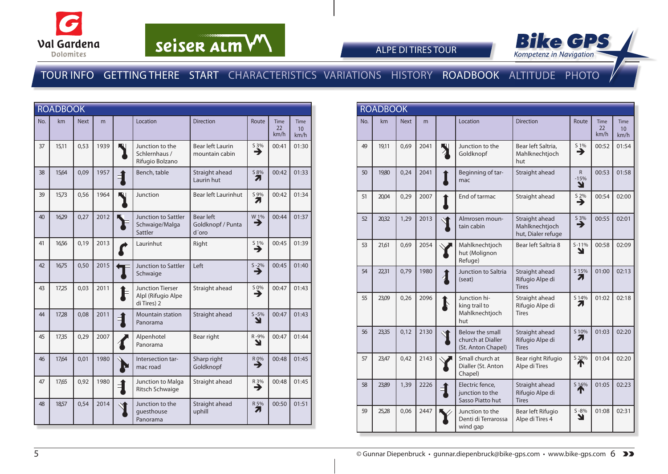



ALPE DI TIRES TOUR

|     | <b>ROADBOOK</b> |             |      |             |                                                              |                                           |                       |                           |                                         |
|-----|-----------------|-------------|------|-------------|--------------------------------------------------------------|-------------------------------------------|-----------------------|---------------------------|-----------------------------------------|
| No. | km              | <b>Next</b> | m    |             | Location                                                     | <b>Direction</b>                          | Route                 | <b>Time</b><br>22<br>km/h | <b>Time</b><br>10 <sup>10</sup><br>km/h |
| 37  | 15,11           | 0,53        | 1939 | W           | Junction to the<br>Schlernhaus /<br>Rifugio Bolzano          | <b>Bear left Laurin</b><br>mountain cabin | $\sum_{n=1}^{\infty}$ | 00:41                     | 01:30                                   |
| 38  | 15,64           | 0,09        | 1957 | É.          | Bench, table                                                 | Straight ahead<br>Laurin hut              | S 8%<br>71            | 00:42                     | 01:33                                   |
| 39  | 15,73           | 0,56        | 1964 | W           | Junction                                                     | Bear left Laurinhut                       | S 9%<br>71            | 00:42                     | 01:34                                   |
| 40  | 16,29           | 0,27        | 2012 |             | Junction to Sattler<br>Schwaige/Malga<br>Sattler             | Bear left<br>Goldknopf / Punta<br>d'oro   | W 1%<br>→             | 00:44                     | 01:37                                   |
| 41  | 16,56           | 0,19        | 2013 |             | Laurinhut                                                    | Right                                     | $S_1\%$<br>→          | 00:45                     | 01:39                                   |
| 42  | 16,75           | 0,50        | 2015 |             | Junction to Sattler<br>Schwaige                              | Left                                      | $S - 2\%$<br>→        | 00:45                     | 01:40                                   |
| 43  | 17,25           | 0,03        | 2011 |             | <b>Junction Tierser</b><br>Alpl (Rifugio Alpe<br>di Tires) 2 | Straight ahead                            | $\sum_{n=1}^{\infty}$ | 00:47                     | 01:43                                   |
| 44  | 17,28           | 0,08        | 2011 |             | <b>Mountain station</b><br>Panorama                          | Straight ahead                            | $S - 5%$<br>Y         | 00:47                     | 01:43                                   |
| 45  | 17,35           | 0,29        | 2007 |             | Alpenhotel<br>Panorama                                       | Bear right                                | R-9%<br>Y             | 00:47                     | 01:44                                   |
| 46  | 17,64           | 0,01        | 1980 | ビ           | Intersection tar-<br>mac road                                | Sharp right<br>Goldknopf                  | R 0%<br>→             | 00:48                     | 01:45                                   |
| 47  | 17,65           | 0,92        | 1980 | $\mathbf 1$ | Junction to Malga<br>Ritsch Schwaige                         | Straight ahead                            | $R_3\%$               | 00:48                     | 01:45                                   |
| 48  | 18,57           | 0,54        | 2014 |             | Junction to the<br>questhouse<br>Panorama                    | Straight ahead<br>uphill                  | R 5%<br>71            | 00:50                     | 01:51                                   |

|     | <b>ROADBOOK</b> |             |      |   |                                                            |                                                        |                               |                           |                                         |
|-----|-----------------|-------------|------|---|------------------------------------------------------------|--------------------------------------------------------|-------------------------------|---------------------------|-----------------------------------------|
| No. | km              | <b>Next</b> | m    |   | Location                                                   | <b>Direction</b>                                       | Route                         | <b>Time</b><br>22<br>km/h | <b>Time</b><br>10 <sup>10</sup><br>km/h |
| 49  | 19,11           | 0,69        | 2041 |   | Junction to the<br>Goldknopf                               | Bear left Saltria,<br>Mahlknechtjoch<br>hut            | S 1%<br>→                     | 00:52                     | 01:54                                   |
| 50  | 19,80           | 0,24        | 2041 |   | Beginning of tar-<br>mac                                   | Straight ahead                                         | $\mathsf{R}$<br>$-15%$<br>N   | 00:53                     | 01:58                                   |
| 51  | 20,04           | 0,29        | 2007 |   | End of tarmac                                              | Straight ahead                                         | $S \underline{2}\%$<br>→      | 00:54                     | 02:00                                   |
| 52  | 20,32           | 1,29        | 2013 |   | Almrosen moun-<br>tain cabin                               | Straight ahead<br>Mahlknechtjoch<br>hut, Dialer refuge | $\overset{53\%}{\rightarrow}$ | 00:55                     | 02:01                                   |
| 53  | 21,61           | 0.69        | 2054 |   | Mahlknechtjoch<br>hut (Molignon<br>Refuge)                 | Bear left Saltria 8                                    | $S-11%$<br>Y                  | 00:58                     | 02:09                                   |
| 54  | 22,31           | 0,79        | 1980 |   | Junction to Saltria<br>(seat)                              | Straight ahead<br>Rifugio Alpe di<br><b>Tires</b>      | S 15%<br>7.                   | 01:00                     | 02:13                                   |
| 55  | 23,09           | 0,26        | 2096 | Ņ | Junction hi-<br>king trail to<br>Mahlknechtjoch<br>hut     | Straight ahead<br>Rifugio Alpe di<br><b>Tires</b>      | S 14%<br>7.                   | 01:02                     | 02:18                                   |
| 56  | 23,35           | 0.12        | 2130 |   | Below the small<br>church at Dialler<br>(St. Anton Chapel) | Straight ahead<br>Rifugio Alpe di<br><b>Tires</b>      | S 10%<br>7,                   | 01:03                     | 02:20                                   |
| 57  | 23,47           | 0.42        | 2143 |   | Small church at<br>Dialler (St. Anton<br>Chapel)           | Bear right Rifugio<br>Alpe di Tires                    | S 20%                         | 01:04                     | 02:20                                   |
| 58  | 23,89           | 1,39        | 2226 |   | Electric fence,<br>junction to the<br>Sasso Piatto hut     | Straight ahead<br>Rifugio Alpe di<br><b>Tires</b>      | S 16%                         | 01:05                     | 02:23                                   |
| 59  | 25,28           | 0.06        | 2447 |   | Junction to the<br>Denti di Terrarossa<br>wind gap         | Bear left Rifugio<br>Alpe di Tires 4                   | $S - 8%$<br>ע                 | 01:08                     | 02:31                                   |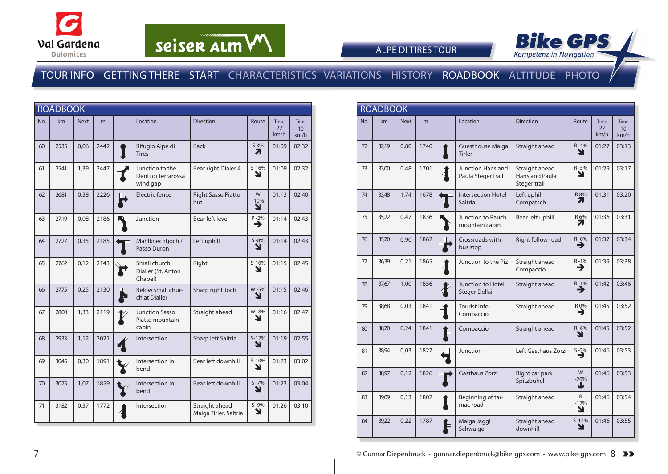



ALPE DI TIRES TOUR

|     | <b>ROADBOOK</b> |             |      |    |                                                    |                                         |                  |                    |                           |
|-----|-----------------|-------------|------|----|----------------------------------------------------|-----------------------------------------|------------------|--------------------|---------------------------|
| No. | km              | <b>Next</b> | m    |    | Location                                           | <b>Direction</b>                        | Route            | Time<br>22<br>km/h | <b>Time</b><br>10<br>km/h |
| 60  | 25,35           | 0,06        | 2442 |    | Rifugio Alpe di<br><b>Tires</b>                    | <b>Back</b>                             | S 8%<br>7.       | 01:09              | 02:32                     |
| 61  | 25,41           | 1,39        | 2447 |    | Junction to the<br>Denti di Terrarossa<br>wind gap | Bear right Dialer 4                     | $S-16%$<br>Y     | 01:09              | 02:32                     |
| 62  | 26,81           | 0,38        | 2226 | Н. | Electric fence                                     | <b>Right Sasso Piatto</b><br>hut        | W<br>$-10%$<br>Y | 01:13              | 02:40                     |
| 63  | 27,19           | 0,08        | 2186 |    | Junction                                           | Bear left level                         | $P - 2%$<br>→    | 01:14              | 02:43                     |
| 64  | 27,27           | 0,35        | 2185 |    | Mahlknechtjoch /<br>Passo Duron                    | Left uphill                             | $S - 8%$<br>N    | 01:14              | 02:43                     |
| 65  | 27,62           | 0,12        | 2143 |    | Small church<br>Dialler (St. Anton<br>Chapel)      | Right                                   | $S-10%$<br>Y     | 01:15              | 02:45                     |
| 66  | 27,75           | 0,25        | 2130 |    | Below small chur-<br>ch at Dialler                 | Sharp right Joch                        | W-5%<br>V        | 01:15              | 02:46                     |
| 67  | 28,00           | 1,33        | 2119 |    | <b>Junction Sasso</b><br>Piatto mountain<br>cabin  | Straight ahead                          | W-8%<br>↘        | 01:16              | 02:47                     |
| 68  | 29,33           | 1,12        | 2021 |    | Intersection                                       | Sharp left Saltria                      | $S-12%$<br>Y     | 01:19              | 02:55                     |
| 69  | 30,45           | 0,30        | 1891 |    | Intersection in<br>bend                            | Bear left downhill                      | $S-10%$<br>N     | 01:23              | 03:02                     |
| 70  | 30,75           | 1,07        | 1859 |    | Intersection in<br>bend                            | Bear left downhill                      | $S - 7%$<br>Y    | 01:23              | 03:04                     |
| 71  | 31,82           | 0,37        | 1772 |    | Intersection                                       | Straight ahead<br>Malga Tirler, Saltria | $S - 9%$<br>Y    | 01:26              | 03:10                     |

| <b>ROADBOOK</b> |       |             |      |   |                                          |                                                  |                             |                    |                                         |
|-----------------|-------|-------------|------|---|------------------------------------------|--------------------------------------------------|-----------------------------|--------------------|-----------------------------------------|
| No.             | km    | <b>Next</b> | m    |   | Location                                 | <b>Direction</b>                                 | Route                       | Time<br>22<br>km/h | <b>Time</b><br>10 <sup>10</sup><br>km/h |
| 72              | 32,19 | 0.80        | 1740 |   | <b>Guesthouse Malga</b><br><b>Tirler</b> | Straight ahead                                   | $R - 4%$<br>N               | 01:27              | 03:13                                   |
| 73              | 33,00 | 0.48        | 1701 |   | Junction Hans and<br>Paula Steger trail  | Straight ahead<br>Hans and Paula<br>Steger trail | R-5%<br>N                   | 01:29              | 03:17                                   |
| 74              | 33,48 | 1,74        | 1678 |   | <b>Intersection Hotel</b><br>Saltria     | Left uphill<br>Compatsch                         | R 8%<br>71                  | 01:31              | 03:20                                   |
| 75              | 35,22 | 0,47        | 1836 |   | Junction to Rauch<br>mountain cabin      | Bear left uphill                                 | R 6%<br>71                  | 01:36              | 03:31                                   |
| 76              | 35,70 | 0.90        | 1862 |   | Crossroads with<br>bus stop              | Right follow road                                | $R - 0\%$                   | 01:37              | 03:34                                   |
| 77              | 36,39 | 0.21        | 1865 |   | Junction to the Piz                      | Straight ahead<br>Compaccio                      | $R - 1\%$                   | 01:39              | 03:38                                   |
| 78              | 37,67 | 1,00        | 1856 |   | Junction to Hotel<br>Steger Dellai       | Straight ahead                                   | $R - 1%$<br>→               | 01:42              | 03:46                                   |
| 79              | 38,68 | 0.03        | 1841 | ╡ | <b>Tourist Info</b><br>Compaccio         | Straight ahead                                   | R 0%<br>→                   | 01:45              | 03:52                                   |
| 80              | 38,70 | 0,24        | 1841 |   | Compaccio                                | Straight ahead                                   | $R - 6%$<br>N               | 01:45              | 03:52                                   |
| 81              | 38,94 | 0.03        | 1827 |   | Junction                                 | Left Gasthaus Zorzi                              | $5 - 3\%$                   | 01:46              | 03:53                                   |
| 82              | 38,97 | 0,12        | 1826 |   | <b>Gasthaus Zorzi</b>                    | Right car park<br>Spitzbühel                     | W<br>$-20%$<br>J            | 01:46              | 03:53                                   |
| 83              | 39,09 | 0.13        | 1802 |   | Beginning of tar-<br>mac road            | Straight ahead                                   | $\mathsf{R}$<br>$-12%$<br>Ł | 01:46              | 03:54                                   |
| 84              | 39,22 | 0,22        | 1787 |   | Malga Jaggl<br>Schwaige                  | Straight ahead<br>downhill                       | $S-12%$<br>Y                | 01:46              | 03:55                                   |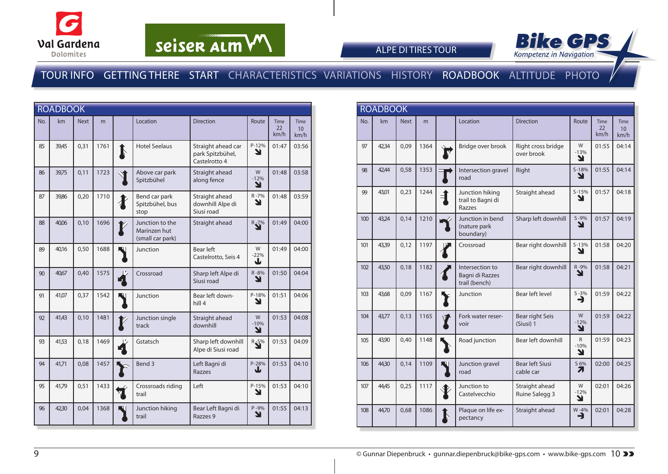



ALPE DI TIRES TOUR

|     | <b>ROADBOOK</b> |             |      |   |                                                     |                                                         |                             |                           |                                         |
|-----|-----------------|-------------|------|---|-----------------------------------------------------|---------------------------------------------------------|-----------------------------|---------------------------|-----------------------------------------|
| No. | km              | <b>Next</b> | m    |   | Location                                            | <b>Direction</b>                                        | Route                       | <b>Time</b><br>22<br>km/h | <b>Time</b><br>10 <sup>10</sup><br>km/h |
| 85  | 39,45           | 0,31        | 1761 | J | <b>Hotel Seelaus</b>                                | Straight ahead car<br>park Spitzbühel,<br>Castelrotto 4 | P-12%<br>Y                  | 01:47                     | 03:56                                   |
| 86  | 39,75           | 0,11        | 1723 |   | Above car park<br>Spitzbühel                        | Straight ahead<br>along fence                           | W<br>$-12%$<br>Y            | 01:48                     | 03:58                                   |
| 87  | 39,86           | 0,20        | 1710 |   | Bend car park<br>Spitzbühel, bus<br>stop            | Straight ahead<br>downhill Alpe di<br>Siusi road        | R-7%<br>Y                   | 01:48                     | 03:59                                   |
| 88  | 40,06           | 0,10        | 1696 |   | Junction to the<br>Marinzen hut<br>(small car park) | Straight ahead                                          | $R_{\bar{S}}$ <sup>7%</sup> | 01:49                     | 04:00                                   |
| 89  | 40,16           | 0,50        | 1688 |   | Junction                                            | <b>Bear left</b><br>Castelrotto, Seis 4                 | W<br>$-22%$<br>┶            | 01:49                     | 04:00                                   |
| 90  | 40,67           | 0,40        | 1575 |   | Crossroad                                           | Sharp left Alpe di<br>Siusi road                        | R-8%<br>N                   | 01:50                     | 04:04                                   |
| 91  | 41,07           | 0,37        | 1542 |   | Junction                                            | Bear left down-<br>hill 4                               | P-18%<br>Y                  | 01:51                     | 04:06                                   |
| 92  | 41,43           | 0,10        | 1481 |   | Junction single<br>track                            | Straight ahead<br>downhill                              | W<br>$-10%$<br>Ł            | 01:53                     | 04:08                                   |
| 93  | 41,53           | 0,18        | 1469 |   | Gstatsch                                            | Sharp left downhill<br>Alpe di Siusi road               | $R_{\bar{2}}\bar{5}^{\%}$   | 01:53                     | 04:09                                   |
| 94  | 41,71           | 0,08        | 1457 |   | Bend 3                                              | Left Bagni di<br><b>Razzes</b>                          | P-28%<br>业                  | 01:53                     | 04:10                                   |
| 95  | 41,79           | 0,51        | 1433 |   | Crossroads riding<br>trail                          | Left                                                    | P-15%<br>Y                  | 01:53                     | 04:10                                   |
| 96  | 42,30           | 0,04        | 1368 |   | Junction hiking<br>trail                            | Bear Left Bagni di<br>Razzes 9                          | $P - 9%$<br>N               | 01:55                     | 04:13                                   |

|     | <b>ROADBOOK</b> |             |      |              |                                                     |                                     |                             |                           |                                         |
|-----|-----------------|-------------|------|--------------|-----------------------------------------------------|-------------------------------------|-----------------------------|---------------------------|-----------------------------------------|
| No. | km              | <b>Next</b> | m    |              | Location                                            | <b>Direction</b>                    | Route                       | <b>Time</b><br>22<br>km/h | <b>Time</b><br>10 <sup>10</sup><br>km/h |
| 97  | 42,34           | 0.09        | 1364 |              | Bridge over brook                                   | Right cross bridge<br>over brook    | W<br>$-13%$<br>N            | 01:55                     | 04:14                                   |
| 98  | 42.44           | 0.58        | 1353 |              | Intersection gravel<br>road                         | Right                               | $S-18%$<br>N                | 01:55                     | 04:14                                   |
| 99  | 43,01           | 0,23        | 1244 |              | Junction hiking<br>trail to Bagni di<br>Razzes      | Straight ahead                      | $S - 15%$<br>ν              | 01:57                     | 04:18                                   |
| 100 | 43,24           | 0,14        | 1210 |              | Junction in bend<br>(nature park<br>boundary)       | Sharp left downhill                 | $S - 9%$<br>₩               | 01:57                     | 04:19                                   |
| 101 | 43,39           | 0.12        | 1197 |              | Crossroad                                           | Bear right downhill                 | $S-13%$<br>N                | 01:58                     | 04:20                                   |
| 102 | 43,50           | 0,18        | 1182 |              | Intersection to<br>Bagni di Razzes<br>trail (bench) | Bear right downhill                 | R-9%<br>ע                   | 01:58                     | 04:21                                   |
| 103 | 43,68           | 0,09        | 1167 |              | Junction                                            | Bear left level                     | $S - 3%$<br>∍               | 01:59                     | 04:22                                   |
| 104 | 43,77           | 0,13        | 1165 | $\mathbf{V}$ | Fork water reser-<br>voir                           | Bear right Seis<br>(Siusi) 1        | W<br>$-12%$<br>Y            | 01:59                     | 04:22                                   |
| 105 | 43,90           | 0,40        | 1148 |              | Road junction                                       | Bear left downhill                  | $\mathsf{R}$<br>$-10%$<br>Y | 01:59                     | 04:23                                   |
| 106 | 44,30           | 0,14        | 1109 |              | Junction gravel<br>road                             | <b>Bear left Siusi</b><br>cable car | S 6%<br>71                  | 02:00                     | 04:25                                   |
| 107 | 44,45           | 0,25        | 1117 |              | Junction to<br>Castelvecchio                        | Straight ahead<br>Ruine Salegg 3    | W<br>$-12%$<br>N            | 02:01                     | 04:26                                   |
| 108 | 44,70           | 0,68        | 1086 |              | Plaque on life ex-<br>pectancy                      | Straight ahead                      | $W - 4%$<br>⊣               | 02:01                     | 04:28                                   |